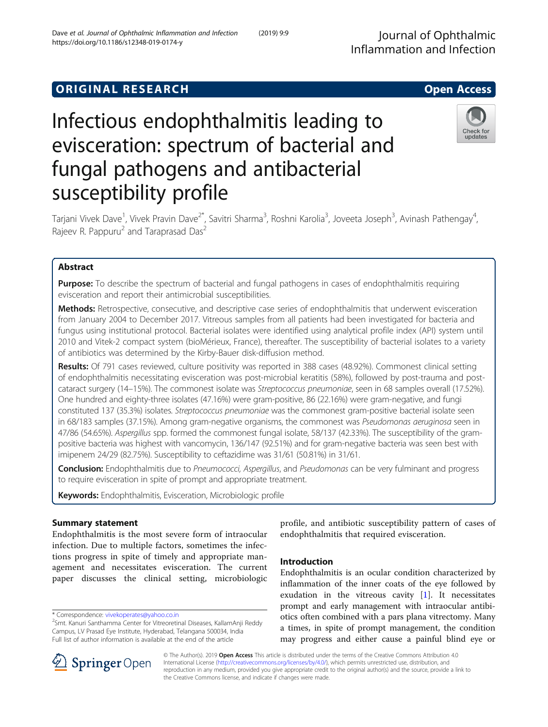## **ORIGINAL RESEARCH CONSUMING ACCESS**

# Infectious endophthalmitis leading to evisceration: spectrum of bacterial and fungal pathogens and antibacterial susceptibility profile

Tarjani Vivek Dave<sup>1</sup>, Vivek Pravin Dave<sup>2\*</sup>, Savitri Sharma<sup>3</sup>, Roshni Karolia<sup>3</sup>, Joveeta Joseph<sup>3</sup>, Avinash Pathengay<sup>4</sup> , Rajeev R. Pappuru<sup>2</sup> and Taraprasad Das<sup>2</sup>

## Abstract

**Purpose:** To describe the spectrum of bacterial and fungal pathogens in cases of endophthalmitis requiring evisceration and report their antimicrobial susceptibilities.

Methods: Retrospective, consecutive, and descriptive case series of endophthalmitis that underwent evisceration from January 2004 to December 2017. Vitreous samples from all patients had been investigated for bacteria and fungus using institutional protocol. Bacterial isolates were identified using analytical profile index (API) system until 2010 and Vitek-2 compact system (bioMérieux, France), thereafter. The susceptibility of bacterial isolates to a variety of antibiotics was determined by the Kirby-Bauer disk-diffusion method.

Results: Of 791 cases reviewed, culture positivity was reported in 388 cases (48.92%). Commonest clinical setting of endophthalmitis necessitating evisceration was post-microbial keratitis (58%), followed by post-trauma and postcataract surgery (14–15%). The commonest isolate was Streptococcus pneumoniae, seen in 68 samples overall (17.52%). One hundred and eighty-three isolates (47.16%) were gram-positive, 86 (22.16%) were gram-negative, and fungi constituted 137 (35.3%) isolates. Streptococcus pneumoniae was the commonest gram-positive bacterial isolate seen in 68/183 samples (37.15%). Among gram-negative organisms, the commonest was Pseudomonas aeruginosa seen in 47/86 (54.65%). Aspergillus spp. formed the commonest fungal isolate, 58/137 (42.33%). The susceptibility of the grampositive bacteria was highest with vancomycin, 136/147 (92.51%) and for gram-negative bacteria was seen best with imipenem 24/29 (82.75%). Susceptibility to ceftazidime was 31/61 (50.81%) in 31/61.

Conclusion: Endophthalmitis due to Pneumococci, Aspergillus, and Pseudomonas can be very fulminant and progress to require evisceration in spite of prompt and appropriate treatment.

Keywords: Endophthalmitis, Evisceration, Microbiologic profile

## Summary statement

Endophthalmitis is the most severe form of intraocular infection. Due to multiple factors, sometimes the infections progress in spite of timely and appropriate management and necessitates evisceration. The current paper discusses the clinical setting, microbiologic

\* Correspondence: [vivekoperates@yahoo.co.in](mailto:vivekoperates@yahoo.co.in) <sup>2</sup>

© The Author(s). 2019 Open Access This article is distributed under the terms of the Creative Commons Attribution 4.0 International License ([http://creativecommons.org/licenses/by/4.0/\)](http://creativecommons.org/licenses/by/4.0/), which permits unrestricted use, distribution, and reproduction in any medium, provided you give appropriate credit to the original author(s) and the source, provide a link to the Creative Commons license, and indicate if changes were made.

profile, and antibiotic susceptibility pattern of cases of endophthalmitis that required evisceration.

## Introduction

Endophthalmitis is an ocular condition characterized by inflammation of the inner coats of the eye followed by exudation in the vitreous cavity  $[1]$  $[1]$ . It necessitates prompt and early management with intraocular antibiotics often combined with a pars plana vitrectomy. Many a times, in spite of prompt management, the condition may progress and either cause a painful blind eye or



<sup>&</sup>lt;sup>2</sup>Smt. Kanuri Santhamma Center for Vitreoretinal Diseases, KallamAnji Reddy Campus, LV Prasad Eye Institute, Hyderabad, Telangana 500034, India Full list of author information is available at the end of the article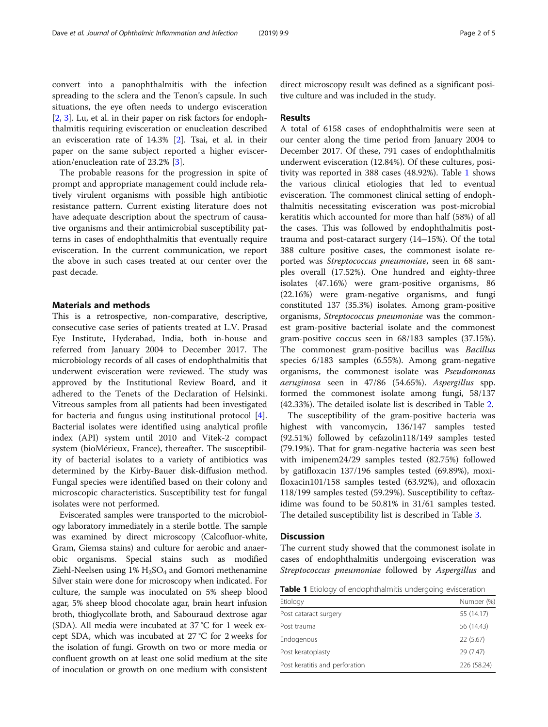convert into a panophthalmitis with the infection spreading to the sclera and the Tenon's capsule. In such situations, the eye often needs to undergo evisceration [[2,](#page-4-0) [3\]](#page-4-0). Lu, et al. in their paper on risk factors for endophthalmitis requiring evisceration or enucleation described an evisceration rate of 14.3% [[2\]](#page-4-0). Tsai, et al. in their paper on the same subject reported a higher evisceration/enucleation rate of 23.2% [\[3](#page-4-0)].

The probable reasons for the progression in spite of prompt and appropriate management could include relatively virulent organisms with possible high antibiotic resistance pattern. Current existing literature does not have adequate description about the spectrum of causative organisms and their antimicrobial susceptibility patterns in cases of endophthalmitis that eventually require evisceration. In the current communication, we report the above in such cases treated at our center over the past decade.

## Materials and methods

This is a retrospective, non-comparative, descriptive, consecutive case series of patients treated at L.V. Prasad Eye Institute, Hyderabad, India, both in-house and referred from January 2004 to December 2017. The microbiology records of all cases of endophthalmitis that underwent evisceration were reviewed. The study was approved by the Institutional Review Board, and it adhered to the Tenets of the Declaration of Helsinki. Vitreous samples from all patients had been investigated for bacteria and fungus using institutional protocol [\[4](#page-4-0)]. Bacterial isolates were identified using analytical profile index (API) system until 2010 and Vitek-2 compact system (bioMérieux, France), thereafter. The susceptibility of bacterial isolates to a variety of antibiotics was determined by the Kirby-Bauer disk-diffusion method. Fungal species were identified based on their colony and microscopic characteristics. Susceptibility test for fungal isolates were not performed.

Eviscerated samples were transported to the microbiology laboratory immediately in a sterile bottle. The sample was examined by direct microscopy (Calcofluor-white, Gram, Giemsa stains) and culture for aerobic and anaerobic organisms. Special stains such as modified Ziehl-Neelsen using  $1\%$  H<sub>2</sub>SO<sub>4</sub> and Gomori methenamine Silver stain were done for microscopy when indicated. For culture, the sample was inoculated on 5% sheep blood agar, 5% sheep blood chocolate agar, brain heart infusion broth, thioglycollate broth, and Sabouraud dextrose agar (SDA). All media were incubated at 37 °C for 1 week except SDA, which was incubated at 27 °C for 2 weeks for the isolation of fungi. Growth on two or more media or confluent growth on at least one solid medium at the site of inoculation or growth on one medium with consistent

direct microscopy result was defined as a significant positive culture and was included in the study.

## Results

A total of 6158 cases of endophthalmitis were seen at our center along the time period from January 2004 to December 2017. Of these, 791 cases of endophthalmitis underwent evisceration (12.84%). Of these cultures, positivity was reported in 388 cases (48.92%). Table 1 shows the various clinical etiologies that led to eventual evisceration. The commonest clinical setting of endophthalmitis necessitating evisceration was post-microbial keratitis which accounted for more than half (58%) of all the cases. This was followed by endophthalmitis posttrauma and post-cataract surgery (14–15%). Of the total 388 culture positive cases, the commonest isolate reported was Streptococcus pneumoniae, seen in 68 samples overall (17.52%). One hundred and eighty-three isolates (47.16%) were gram-positive organisms, 86 (22.16%) were gram-negative organisms, and fungi constituted 137 (35.3%) isolates. Among gram-positive organisms, Streptococcus pneumoniae was the commonest gram-positive bacterial isolate and the commonest gram-positive coccus seen in 68/183 samples (37.15%). The commonest gram-positive bacillus was Bacillus species 6/183 samples (6.55%). Among gram-negative organisms, the commonest isolate was Pseudomonas aeruginosa seen in 47/86 (54.65%). Aspergillus spp. formed the commonest isolate among fungi, 58/137 (42.33%). The detailed isolate list is described in Table [2.](#page-2-0)

The susceptibility of the gram-positive bacteria was highest with vancomycin, 136/147 samples tested (92.51%) followed by cefazolin118/149 samples tested (79.19%). That for gram-negative bacteria was seen best with imipenem24/29 samples tested (82.75%) followed by gatifloxacin 137/196 samples tested (69.89%), moxifloxacin101/158 samples tested (63.92%), and ofloxacin 118/199 samples tested (59.29%). Susceptibility to ceftazidime was found to be 50.81% in 31/61 samples tested. The detailed susceptibility list is described in Table [3](#page-3-0).

### **Discussion**

The current study showed that the commonest isolate in cases of endophthalmitis undergoing evisceration was Streptococcus pneumoniae followed by Aspergillus and

Table 1 Etiology of endophthalmitis undergoing evisceration

| Etiology                       | Number (%)  |  |  |  |  |  |
|--------------------------------|-------------|--|--|--|--|--|
| Post cataract surgery          | 55 (14.17)  |  |  |  |  |  |
| Post trauma                    | 56 (14.43)  |  |  |  |  |  |
| Endogenous                     | 22 (5.67)   |  |  |  |  |  |
| Post keratoplasty              | 29 (7.47)   |  |  |  |  |  |
| Post keratitis and perforation | 226 (58.24) |  |  |  |  |  |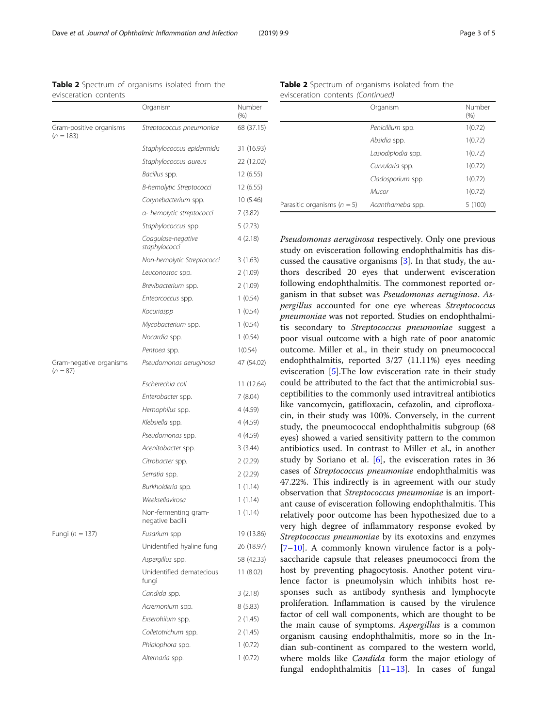<span id="page-2-0"></span>

| <b>Table 2</b> Spectrum of organisms isolated from the |  |  |  |
|--------------------------------------------------------|--|--|--|
| evisceration contents                                  |  |  |  |

|                                        | Organism                                 | Number<br>(% ) |
|----------------------------------------|------------------------------------------|----------------|
| Gram-positive organisms<br>$(n = 183)$ | Streptococcus pneumoniae                 | 68 (37.15)     |
|                                        | Staphylococcus epidermidis               | 31 (16.93)     |
|                                        | Staphylococcus aureus                    | 22 (12.02)     |
|                                        | Bacillus spp.                            | 12 (6.55)      |
|                                        | B-hemolytic Streptococci                 | 12 (6.55)      |
|                                        | Corynebacterium spp.                     | 10 (5.46)      |
|                                        | a- hemolytic streptococci                | 7 (3.82)       |
|                                        | Staphylococcus spp.                      | 5(2.73)        |
|                                        | Coagulase-negative<br>staphylococci      | 4(2.18)        |
|                                        | Non-hemolytic Streptococci               | 3(1.63)        |
|                                        | Leuconostoc spp.                         | 2 (1.09)       |
|                                        | Brevibacterium spp.                      | 2(1.09)        |
|                                        | Enteorcoccus spp.                        | 1(0.54)        |
|                                        | Kocuriaspp                               | 1(0.54)        |
|                                        | Mycobacterium spp.                       | 1(0.54)        |
|                                        | Nocardia spp.                            | 1(0.54)        |
|                                        | Pentoea spp.                             | 1(0.54)        |
| Gram-negative organisms<br>$(n = 87)$  | Pseudomonas aeruginosa                   | 47 (54.02)     |
|                                        | Escherechia coli                         | 11 (12.64)     |
|                                        | Enterobacter spp.                        | 7 (8.04)       |
|                                        | Hemophilus spp.                          | 4 (4.59)       |
|                                        | Klebsiella spp.                          | 4 (4.59)       |
|                                        | Pseudomonas spp.                         | 4 (4.59)       |
|                                        | Acenitobacter spp.                       | 3(3.44)        |
|                                        | Citrobacter spp.                         | 2(2.29)        |
|                                        | Serratia spp.                            | 2(2.29)        |
|                                        | Burkholderia spp.                        | 1(1.14)        |
|                                        | Weeksellavirosa                          | 1(1.14)        |
|                                        | Non-fermenting gram-<br>negative bacilli | 1(1.14)        |
| Fungi ( $n = 137$ )                    | Fusarium spp                             | 19 (13.86)     |
|                                        | Unidentified hyaline fungi               | 26 (18.97)     |
|                                        | Aspergillus spp.                         | 58 (42.33)     |
|                                        | Unidentified dematecious<br>fungi        | 11 (8.02)      |
|                                        | Candida spp.                             | 3(2.18)        |
|                                        | Acremonium spp.                          | 8(5.83)        |
|                                        | Exserohilum spp.                         | 2 (1.45)       |
|                                        | Colletotrichum spp.                      | 2(1.45)        |
|                                        | Phialophora spp.                         | 1(0.72)        |
|                                        | Alternaria spp.                          | 1(0.72)        |

| <b>Table 2</b> Spectrum of organisms isolated from the |  |  |  |
|--------------------------------------------------------|--|--|--|
| evisceration contents (Continued)                      |  |  |  |

|                                 | Organism           | Number<br>(% ) |
|---------------------------------|--------------------|----------------|
|                                 | Penicillium spp.   | 1(0.72)        |
|                                 | Absidia spp.       | 1(0.72)        |
|                                 | Lasiodiplodia spp. | 1(0.72)        |
|                                 | Curvularia spp.    | 1(0.72)        |
|                                 | Cladosporium spp.  | 1(0.72)        |
|                                 | Mucor              | 1(0.72)        |
| Parasitic organisms ( $n = 5$ ) | Acanthameba spp.   | 5(100)         |

Pseudomonas aeruginosa respectively. Only one previous study on evisceration following endophthalmitis has discussed the causative organisms [\[3](#page-4-0)]. In that study, the authors described 20 eyes that underwent evisceration following endophthalmitis. The commonest reported organism in that subset was Pseudomonas aeruginosa. Aspergillus accounted for one eye whereas Streptococcus pneumoniae was not reported. Studies on endophthalmitis secondary to Streptococcus pneumoniae suggest a poor visual outcome with a high rate of poor anatomic outcome. Miller et al., in their study on pneumococcal endophthalmitis, reported 3/27 (11.11%) eyes needing evisceration [\[5](#page-4-0)].The low evisceration rate in their study could be attributed to the fact that the antimicrobial susceptibilities to the commonly used intravitreal antibiotics like vancomycin, gatifloxacin, cefazolin, and ciprofloxacin, in their study was 100%. Conversely, in the current study, the pneumococcal endophthalmitis subgroup (68 eyes) showed a varied sensitivity pattern to the common antibiotics used. In contrast to Miller et al., in another study by Soriano et al. [[6](#page-4-0)], the evisceration rates in 36 cases of Streptococcus pneumoniae endophthalmitis was 47.22%. This indirectly is in agreement with our study observation that Streptococcus pneumoniae is an important cause of evisceration following endophthalmitis. This relatively poor outcome has been hypothesized due to a very high degree of inflammatory response evoked by Streptococcus pneumoniae by its exotoxins and enzymes [[7](#page-4-0)–[10\]](#page-4-0). A commonly known virulence factor is a polysaccharide capsule that releases pneumococci from the host by preventing phagocytosis. Another potent virulence factor is pneumolysin which inhibits host responses such as antibody synthesis and lymphocyte proliferation. Inflammation is caused by the virulence factor of cell wall components, which are thought to be the main cause of symptoms. Aspergillus is a common organism causing endophthalmitis, more so in the Indian sub-continent as compared to the western world, where molds like *Candida* form the major etiology of fungal endophthalmitis  $[11-13]$  $[11-13]$  $[11-13]$  $[11-13]$  $[11-13]$ . In cases of fungal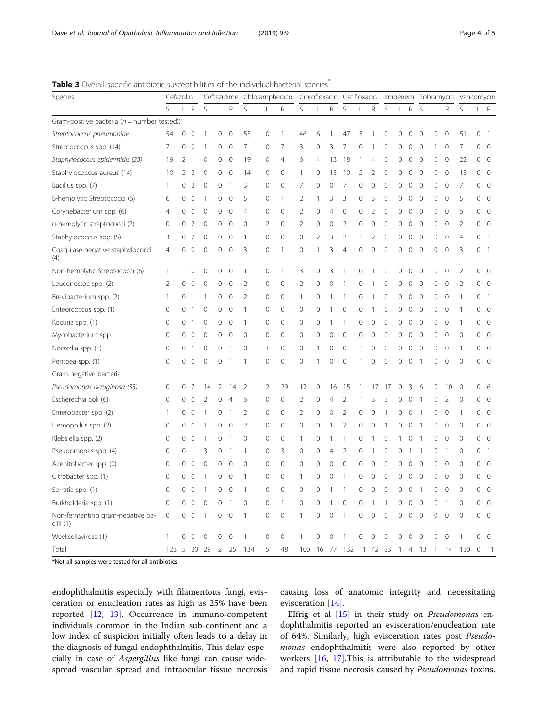<span id="page-3-0"></span>Table 3 Overall specific antibiotic susceptibilities of the individual bacterial species<sup>\*</sup>

| Species                                        | Cefazolin      |                  |                |                | Ceftazidime Chloramphenicol Ciprofloxacin Gatifloxacin |              |                |                |                |                |                |                |                |                | Imipenem Tobramycin Vancomycin |                |                |                |              |                |                |                |                |                |
|------------------------------------------------|----------------|------------------|----------------|----------------|--------------------------------------------------------|--------------|----------------|----------------|----------------|----------------|----------------|----------------|----------------|----------------|--------------------------------|----------------|----------------|----------------|--------------|----------------|----------------|----------------|----------------|----------------|
|                                                | S              | $\mathbf{I}$     | $\mathsf R$    | S              |                                                        | R            | S              |                | R              | S              |                | R              | S              |                | R                              | S              |                | R              | S            |                | R              | S              |                | R              |
| Gram-positive bacteria ( $n =$ number tested)) |                |                  |                |                |                                                        |              |                |                |                |                |                |                |                |                |                                |                |                |                |              |                |                |                |                |                |
| Streptococcus pneumoniae                       | 54             | 0                | $\Omega$       | 1              | 0                                                      | 0            | 53             | $\mathbf 0$    | 1              | 46             | 6              | 1              | 47             | 3              |                                | $\Omega$       |                | C              | 0            | 0              | 0              | 51             | 0              | $\overline{1}$ |
| Streptococcus spp. (14)                        | $\overline{7}$ | 0                | $\mathbf{0}$   | 1              | $\circ$                                                | $\mathbf 0$  | $\overline{7}$ | $\mathbf{0}$   | 7              | 3              | $\mathbf 0$    | 3              | 7              | $\mathbf{0}$   | $\mathbf{1}$                   | $\circ$        | 0              | 0              | $\mathbf 0$  | 1              | $\mathbf 0$    | 7              | 0              | $\overline{0}$ |
| Staphylococcus epidermidis (23)                | 19             | 2                | $\overline{1}$ | $\mathbf 0$    | 0                                                      | $\mathbf 0$  | 19             | $\mathbf 0$    | $\overline{4}$ | 6              | $\overline{4}$ | 13             | 18             | $\mathbf{1}$   | 4                              | $\mathbf 0$    | 0              | 0              | $\mathbf 0$  | 0              | $\mathbf 0$    | 22             | 0              | $\overline{0}$ |
| Staphylococcus aureus (14)                     | 10             | 2                | 2              | $\mathbf 0$    | 0                                                      | $\mathbf 0$  | 14             | $\mathbf 0$    | $\mathbf 0$    | $\mathbf{1}$   | $\mathbf 0$    | 13             | 10             | $\overline{2}$ | 2                              | $\mathbf 0$    | 0              | 0              | $\mathbf 0$  | 0              | $\overline{0}$ | 13             | 0              | $\overline{0}$ |
| Bacillus spp. (7)                              | -1             | 0                | 2              | $\mathbf 0$    | 0                                                      | 1            | 3              | 0              | 0              | 7              | $\Omega$       | $\mathbf 0$    | 7              | $\mathbf 0$    | 0                              | $\mathbf 0$    | 0              | 0              | $\mathbf 0$  | 0              | $\overline{0}$ | $\overline{7}$ | 0              | $\overline{0}$ |
| B-hemolytic Streptococci (6)                   | 6              | 0                | $\mathbf{0}$   | 1              | 0                                                      | $\mathbf{0}$ | 5              | $\mathbf{0}$   | $\mathbf{1}$   | $\overline{2}$ | 1              | 3              | 3              | $\mathbf{0}$   | 3                              | $\mathbf{0}$   | 0              | 0              | $\mathbf{0}$ | 0              | $\mathbf 0$    | 5              | 0              | $\overline{0}$ |
| Corynebacterium spp. (6)                       | $\overline{4}$ | $\Omega$         | $\mathbf 0$    | $\mathbf 0$    | 0                                                      | $\mathbf 0$  | $\overline{4}$ | 0              | $\Omega$       | 2              | $\mathbf 0$    | $\overline{4}$ | $\Omega$       | $\mathbf 0$    | $\mathfrak{D}$                 | $\mathbf 0$    | $\Omega$       | 0              | $\mathbf 0$  | 0              | $\overline{0}$ | 6              | 0              | $\overline{0}$ |
| a-hemolytic streptococci (2)                   | $\mathbf 0$    | 0                | 2              | $\mathbf 0$    | $\mathbf{0}$                                           | $\mathbf 0$  | $\mathbf 0$    | $\overline{2}$ | $\mathbf 0$    | $\overline{2}$ | $\mathbf 0$    | $\mathbf 0$    | $\overline{2}$ | $\mathbf 0$    | 0                              | $\mathbf{0}$   | $\mathbf 0$    | 0              | $\mathbf 0$  | 0              | $\overline{0}$ | $\overline{2}$ | 0              | $\overline{0}$ |
| Staphylococcus spp. (5)                        | 3              | 0                | $\overline{2}$ | 0              | 0                                                      | $\mathbf 0$  | 1              | $\mathbf 0$    | $\Omega$       | 0              | $\overline{2}$ | 3              | $\overline{2}$ | 1              | 2                              | $\mathbf 0$    | $\Omega$       | 0              | $\mathbf 0$  | 0              | $\mathbf 0$    | 4              | 0              | $\overline{1}$ |
| Coagulase-negative staphylococci<br>(4)        | $\overline{4}$ | 0                | $\overline{0}$ | $\mathbf{0}$   | $\mathbf 0$                                            | $\mathbf 0$  | 3              | $\mathbf{0}$   | 1              | $\mathbf 0$    | 1              | 3              | $\overline{4}$ | $\mathbf{0}$   | $\mathbf 0$                    | $\overline{0}$ | $\mathbf 0$    | $\mathbf 0$    | $\mathbf{0}$ | 0              | $\mathbf{0}$   | 3              | 0              | $\overline{1}$ |
| Non-hemolytic Streptococci (6)                 | $\overline{1}$ | 1                | 0              | 0              | 0                                                      | 0            | 1              | 0              | 1              | 3              | 0              | 3              | 1              | $\mathbf 0$    |                                | 0              | 0              | 0              | 0            | 0              | 0              | $\overline{2}$ | 0              | $\overline{0}$ |
| Leuconostoc spp. (2)                           | $\overline{2}$ | 0                | $\mathbf 0$    | $\mathbf 0$    | $\mathbf 0$                                            | $\mathbf 0$  | $\overline{2}$ | $\mathbf 0$    | $\mathbf{O}$   | $\overline{2}$ | $\mathbf 0$    | $\mathbf 0$    | 1              | $\mathbf 0$    | 1                              | $\mathbf 0$    | $\mathbf 0$    | $\mathbf 0$    | $\mathbf 0$  | 0              | $\mathbf 0$    | $\overline{2}$ | 0              | $\overline{0}$ |
| Brevibacterium spp. (2)                        | $\mathbf{1}$   | 0                | -1             | 1              | $\circ$                                                | $\mathbf 0$  | $\overline{2}$ | $\mathbf 0$    | $\mathbf{0}$   | $\mathbf{1}$   | $\mathbf{0}$   | $\mathbf{1}$   | 1              | $\mathbf 0$    | 1                              | $\mathbf{0}$   | 0              | 0              | $\mathbf 0$  | 0              | $\mathbf 0$    | 1              | 0              | $\overline{1}$ |
| Enteorcoccus spp. (1)                          | $\mathbf 0$    | 0                | -1             | $\mathbf 0$    | 0                                                      | $\mathbf 0$  | 1              | $\mathbf 0$    | 0              | 0              | $\mathbf 0$    | $\mathbf{1}$   | 0              | $\mathbf 0$    |                                | 0              | 0              | 0              | $\mathbf 0$  | 0              | $\mathbf 0$    | 1              | 0              | $\overline{0}$ |
| Kocuria spp. (1)                               | $\mathbf 0$    | 0                | -1             | $\mathbf 0$    | $\circ$                                                | $\circ$      | $\mathbf{1}$   | $\mathbf 0$    | 0              | 0              | $\mathbf{0}$   | $\overline{1}$ | 1              | $\mathbf 0$    | 0                              | $\circ$        | 0              | 0              | $\mathbf 0$  | 0              | $\circ$        | 1              | 0              | $\overline{0}$ |
| Mycobacterium spp.                             | 0              | ∩                | $\circ$        | $\mathbf 0$    | $\mathbf{0}$                                           | $\mathbf 0$  | $\mathbf 0$    | $\mathbf 0$    | 0              | 0              | $\mathbf{0}$   | $\mathbf 0$    | $\mathbf{0}$   | $\mathbf{0}$   | $\mathbf 0$                    | $\mathbf 0$    | 0              | 0              | $\mathbf 0$  | 0              | $\mathbf 0$    | 0              | 0              | $\overline{0}$ |
| Nocardia spp. (1)                              | $\mathbf 0$    | 0                | -1             | $\mathbf{0}$   | $\mathbf{0}$                                           | -1           | $\mathbf 0$    | 1              | $\mathbf{0}$   | 0              | 1              | $\mathbf{0}$   | $\mathbf{0}$   | $\mathbf{1}$   | 0                              | $\mathbf{0}$   | $\mathbf 0$    | 0              | $\mathbf{0}$ | 0              | $\overline{0}$ | 1              | 0              | $\overline{0}$ |
| Pentoea spp. (1)                               | $\mathbf 0$    | 0                | $\overline{0}$ | $\mathbf{0}$   | $\mathbf{0}$                                           | 1            | $\mathbf{1}$   | $\mathbf{0}$   | $\mathbf{0}$   | $\mathbf 0$    | 1              | $\mathbf 0$    | $\mathbf{0}$   | 1              | 0                              | $\mathbf{0}$   | $\mathbf 0$    | 0              | 1            | 0              | $\mathbf 0$    | $\mathbf 0$    | 0              | $\overline{0}$ |
| Gram-negative bacteria                         |                |                  |                |                |                                                        |              |                |                |                |                |                |                |                |                |                                |                |                |                |              |                |                |                |                |                |
| Pseudomonas aeruginosa (33)                    | $\mathbf 0$    | 0                | 7              | 14             | 2                                                      | 14           | $\overline{2}$ | $\overline{2}$ | 29             | 17             | $\mathbf 0$    | 16             | 15             | 1              | 17                             | 17             | 0              | 3              | 6            | 0              | 10             | 0              | 0              | 6              |
| Escherechia coli (6)                           | $\mathbf 0$    | 0                | $\Omega$       | $\overline{2}$ | 0                                                      | 4            | 6              | $\mathbf 0$    | $\mathbf{0}$   | $\overline{2}$ | $\mathbf{0}$   | $\overline{4}$ | 2              |                | 3                              | 3              | 0              | 0              |              | 0              | $\overline{2}$ | 0              | 0              | $\overline{0}$ |
| Enterobacter spp. (2)                          | 1              | 0                | $\circ$        | 1              | $\mathbf 0$                                            | 1            | $\overline{2}$ | $\mathbf 0$    | 0              | $\overline{2}$ | $\mathbf 0$    | $\mathbf 0$    | $\overline{2}$ | $\mathbf 0$    | 0                              | 1              | 0              | 0              |              | 0              | $\mathbf 0$    | 1              | 0              | $\overline{0}$ |
| Hemophilus spp. (2)                            | $\mathbf{0}$   | 0                | 0              | 1              | $\mathbf 0$                                            | $\mathbf 0$  | $\overline{2}$ | $\mathbf{0}$   | 0              | 0              | $\mathbf{0}$   | $\mathbf{1}$   | $\overline{2}$ | $\mathbf{0}$   | 0                              | 1              | 0              | 0              | -1           | 0              | $\mathbf{0}$   | 0              | 0              | $\overline{0}$ |
| Klebsiella spp. (2)                            | $\mathbf 0$    | 0                | $\circ$        | 1              | 0                                                      | 1            | $\mathbf 0$    | 0              | 0              | $\mathbf{1}$   | 0              | $\mathbf{1}$   | 1              | 0              |                                | 0              |                | 0              | -1           | 0              | $\mathbf 0$    | 0              | 0              | $\overline{0}$ |
| Pseudomonas spp. (4)                           | $\mathbf 0$    | $\left( \right)$ | -1             | 3              | $\mathbf 0$                                            | 1            | 1              | $\mathbf 0$    | 3              | 0              | $\mathbf{0}$   | $\overline{4}$ | $\overline{2}$ | $\mathbf{0}$   |                                | $\mathbf 0$    | 0              |                | 1            | 0              | $\mathbf{1}$   | 0              | 0              | $\overline{1}$ |
| Acenitobacter spp. (0)                         | $\mathbf 0$    | 0                | $\mathbf 0$    | $\mathbf 0$    | $\mathbf 0$                                            | $\mathbf 0$  | $\mathbf 0$    | $\mathbf 0$    | 0              | 0              | $\mathbf 0$    | $\mathbf 0$    | 0              | $\mathbf 0$    | 0                              | $\mathbf 0$    | 0              | 0              | $\mathbf 0$  | 0              | $\circ$        | 0              | 0              | $\overline{0}$ |
| Citrobacter spp. (1)                           | $\mathbf 0$    | 0                | $\mathbf{0}$   | 1              | $\mathbf{0}$                                           | $\mathbf 0$  | 1              | $\mathbf 0$    | 0              | $\mathbf{1}$   | $\mathbf 0$    | $\mathbf 0$    | 1              | $\mathbf 0$    | 0                              | $\mathbf 0$    | 0              | $\mathbf 0$    | $\mathbf 0$  | 0              | $\overline{0}$ | 0              | 0              | $\overline{0}$ |
| Serratia spp. (1)                              | $\mathbf 0$    | 0                | $\mathbf 0$    | 1              | $\mathbf 0$                                            | $\mathbf 0$  | 1              | $\mathbf 0$    | $\mathbf 0$    | 0              | $\mathbf 0$    | $\overline{1}$ | 1              | $\mathbf 0$    | 0                              | $\mathbf 0$    | 0              | 0              | 1            | 0              | $\mathbf 0$    | 0              | 0              | $\overline{0}$ |
| Burkholderia spp. (1)                          | $\mathbf 0$    | 0                | $\mathbf 0$    | $\mathbf 0$    | $\mathbf{0}$                                           | 1            | $\mathbf 0$    | $\mathbf 0$    | $\mathbf{1}$   | 0              | $\mathbf 0$    | $\mathbf{1}$   | $\mathbf 0$    | $\mathbf 0$    | 1                              | $\overline{1}$ | $\mathbf 0$    | 0              | 0            | 0              | $\mathbf{1}$   | 0              | 0              | $\overline{0}$ |
| Non-fermenting gram-negative ba-<br>cilli (1)  | 0              | 0                | $\overline{0}$ | 1              | $\mathbf 0$                                            | $\mathbf 0$  | 1              | $\mathbf 0$    | $\mathbf{O}$   | 1              | $\mathbf 0$    | $\mathbf 0$    | 1              | 0              | $\mathbf 0$                    | $\mathbf 0$    | 0              | 0              | $\mathbf 0$  | 0              | $\circ$        | $\mathbf 0$    | 0              | $\overline{0}$ |
| Weeksellavirosa (1)                            | -1             | $\Omega$         | $\Omega$       | $\mathbf{0}$   | $\mathbf 0$                                            | $\mathbf 0$  | 1              | $\mathbf{0}$   | 0              | $\mathbf{1}$   | $\Omega$       | $\Omega$       |                | $\mathbf 0$    | 0                              | $\Omega$       | 0              | 0              | 0            | 0              | $\mathbf{0}$   | $\mathbf{1}$   | 0              | $\overline{0}$ |
| Total                                          | 123            | - 5              | - 20           | -29            | 2                                                      | 25           | 134            | 5              | 48             | 100            | 16             | 77             | 132 11         |                | 42 23                          |                | $\overline{1}$ | $\overline{4}$ | 13           | $\overline{1}$ | 14             | 130            | $\overline{0}$ | $-11$          |

\*Not all samples were tested for all antibiotics

endophthalmitis especially with filamentous fungi, evisceration or enucleation rates as high as 25% have been reported [[12,](#page-4-0) [13\]](#page-4-0). Occurrence in immuno-competent individuals common in the Indian sub-continent and a low index of suspicion initially often leads to a delay in the diagnosis of fungal endophthalmitis. This delay especially in case of Aspergillus like fungi can cause widespread vascular spread and intraocular tissue necrosis causing loss of anatomic integrity and necessitating evisceration [\[14](#page-4-0)].

EIfrig et al [[15\]](#page-4-0) in their study on Pseudomonas endophthalmitis reported an evisceration/enucleation rate of 64%. Similarly, high evisceration rates post Pseudomonas endophthalmitis were also reported by other workers [[16,](#page-4-0) [17](#page-4-0)].This is attributable to the widespread and rapid tissue necrosis caused by Pseudomonas toxins.